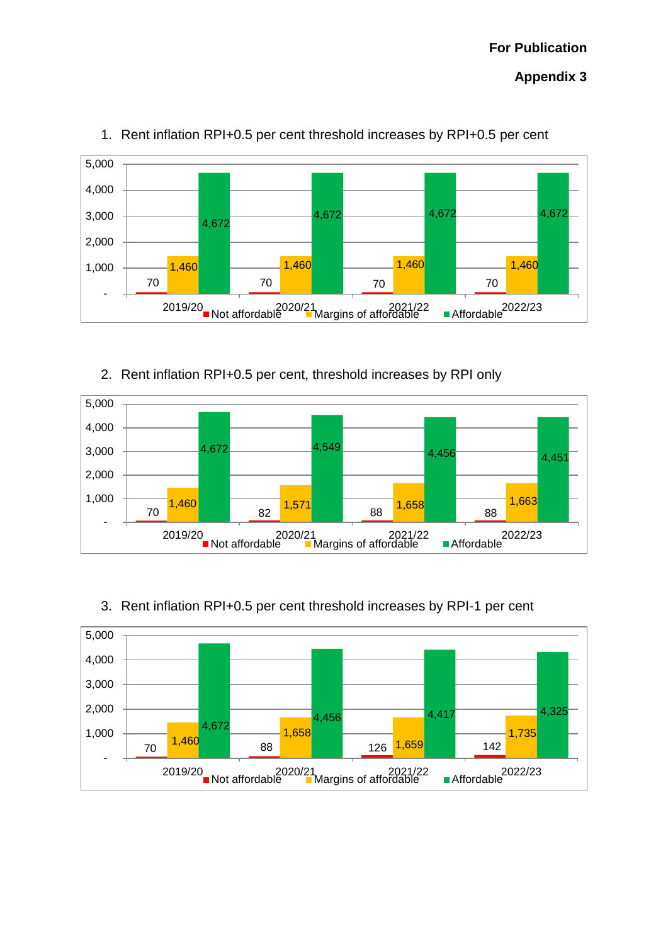**For Publication**

**Appendix 3**



### 1. Rent inflation RPI+0.5 per cent threshold increases by RPI+0.5 per cent

# 2. Rent inflation RPI+0.5 per cent, threshold increases by RPI only



## 3. Rent inflation RPI+0.5 per cent threshold increases by RPI-1 per cent